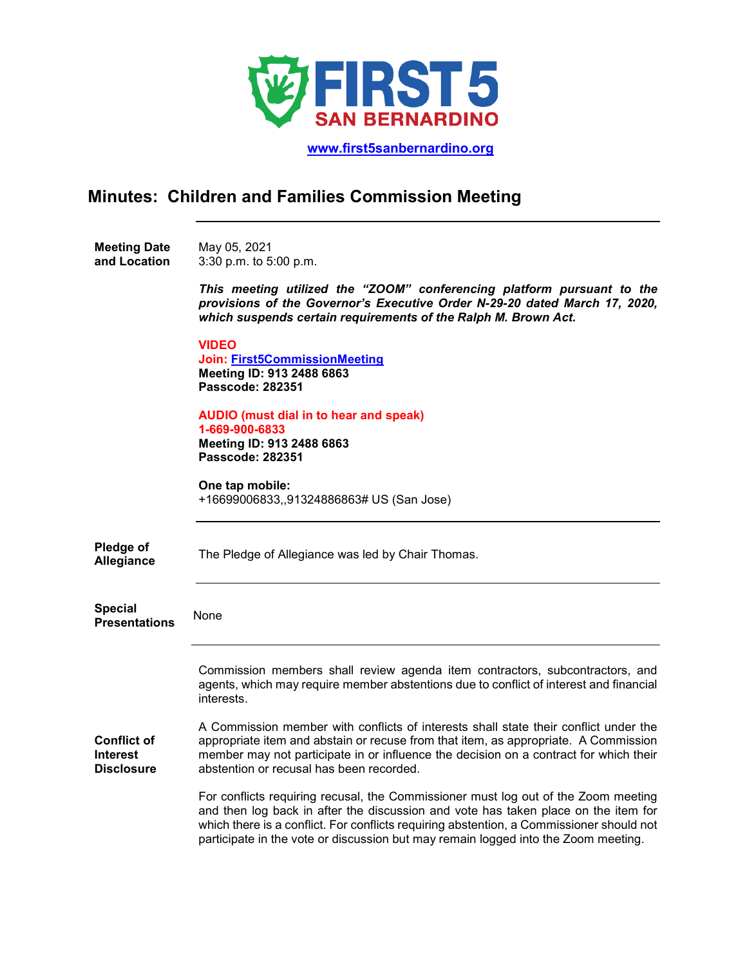

 **[www.first5sanbernardino.org](http://www.first5sanbernardino.org/)**

## **Minutes: Children and Families Commission Meeting**

**Meeting Date and Location**  May 05, 2021 3:30 p.m. to 5:00 p.m.

> *This meeting utilized the "ZOOM" conferencing platform pursuant to the provisions of the Governor's Executive Order N-29-20 dated March 17, 2020, which suspends certain requirements of the Ralph M. Brown Act.*

**VIDEO Join: [First5CommissionMeeting](https://sbcounty.zoom.us/j/91324886863?pwd=TXZKSWdVdVRDVjZyUWJnc0dQLzFuQT09) Meeting ID: 913 2488 6863 Passcode: 282351 AUDIO (must dial in to hear and speak) 1-669-900-6833 Meeting ID: 913 2488 6863 Passcode: 282351 One tap mobile:** +16699006833,,91324886863# US (San Jose) **Pledge of Allegiance** The Pledge of Allegiance was led by Chair Thomas. **Special Presentations** None **Conflict of Interest Disclosure** Commission members shall review agenda item contractors, subcontractors, and agents, which may require member abstentions due to conflict of interest and financial interests. A Commission member with conflicts of interests shall state their conflict under the appropriate item and abstain or recuse from that item, as appropriate. A Commission member may not participate in or influence the decision on a contract for which their abstention or recusal has been recorded. For conflicts requiring recusal, the Commissioner must log out of the Zoom meeting and then log back in after the discussion and vote has taken place on the item for which there is a conflict. For conflicts requiring abstention, a Commissioner should not

participate in the vote or discussion but may remain logged into the Zoom meeting.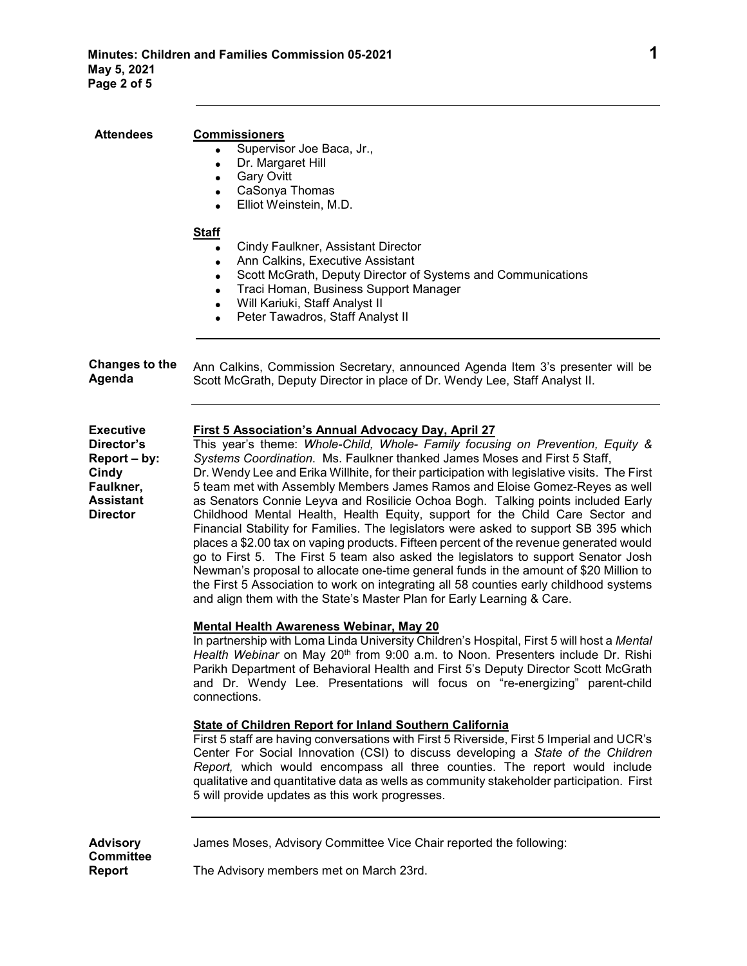| <b>Attendees</b>                                                                                            | <b>Commissioners</b><br>Supervisor Joe Baca, Jr.,<br>Dr. Margaret Hill<br>$\bullet$<br><b>Gary Ovitt</b><br>$\bullet$<br>CaSonya Thomas<br>$\bullet$<br>Elliot Weinstein, M.D.<br>$\bullet$<br><b>Staff</b>                                                                                                                                                                                                                                                                                                                                                                                                                                                                                                                                                                                                                                                                                                                                                                                                                                                                                                        |
|-------------------------------------------------------------------------------------------------------------|--------------------------------------------------------------------------------------------------------------------------------------------------------------------------------------------------------------------------------------------------------------------------------------------------------------------------------------------------------------------------------------------------------------------------------------------------------------------------------------------------------------------------------------------------------------------------------------------------------------------------------------------------------------------------------------------------------------------------------------------------------------------------------------------------------------------------------------------------------------------------------------------------------------------------------------------------------------------------------------------------------------------------------------------------------------------------------------------------------------------|
|                                                                                                             | Cindy Faulkner, Assistant Director<br>Ann Calkins, Executive Assistant<br>$\bullet$<br>Scott McGrath, Deputy Director of Systems and Communications<br>$\bullet$<br>Traci Homan, Business Support Manager<br>$\bullet$<br>Will Kariuki, Staff Analyst II<br>$\bullet$<br>Peter Tawadros, Staff Analyst II<br>$\bullet$                                                                                                                                                                                                                                                                                                                                                                                                                                                                                                                                                                                                                                                                                                                                                                                             |
| <b>Changes to the</b><br>Agenda                                                                             | Ann Calkins, Commission Secretary, announced Agenda Item 3's presenter will be<br>Scott McGrath, Deputy Director in place of Dr. Wendy Lee, Staff Analyst II.                                                                                                                                                                                                                                                                                                                                                                                                                                                                                                                                                                                                                                                                                                                                                                                                                                                                                                                                                      |
| <b>Executive</b><br>Director's<br>Report – by:<br>Cindy<br>Faulkner,<br><b>Assistant</b><br><b>Director</b> | <b>First 5 Association's Annual Advocacy Day, April 27</b><br>This year's theme: Whole-Child, Whole- Family focusing on Prevention, Equity &<br>Systems Coordination. Ms. Faulkner thanked James Moses and First 5 Staff,<br>Dr. Wendy Lee and Erika Willhite, for their participation with legislative visits. The First<br>5 team met with Assembly Members James Ramos and Eloise Gomez-Reyes as well<br>as Senators Connie Leyva and Rosilicie Ochoa Bogh. Talking points included Early<br>Childhood Mental Health, Health Equity, support for the Child Care Sector and<br>Financial Stability for Families. The legislators were asked to support SB 395 which<br>places a \$2.00 tax on vaping products. Fifteen percent of the revenue generated would<br>go to First 5. The First 5 team also asked the legislators to support Senator Josh<br>Newman's proposal to allocate one-time general funds in the amount of \$20 Million to<br>the First 5 Association to work on integrating all 58 counties early childhood systems<br>and align them with the State's Master Plan for Early Learning & Care. |
|                                                                                                             | <b>Mental Health Awareness Webinar, May 20</b><br>In partnership with Loma Linda University Children's Hospital, First 5 will host a Mental<br>Health Webinar on May 20 <sup>th</sup> from 9:00 a.m. to Noon. Presenters include Dr. Rishi<br>Parikh Department of Behavioral Health and First 5's Deputy Director Scott McGrath<br>and Dr. Wendy Lee. Presentations will focus on "re-energizing" parent-child<br>connections.                                                                                                                                                                                                                                                                                                                                                                                                                                                                                                                                                                                                                                                                                    |
|                                                                                                             | <b>State of Children Report for Inland Southern California</b><br>First 5 staff are having conversations with First 5 Riverside, First 5 Imperial and UCR's<br>Center For Social Innovation (CSI) to discuss developing a State of the Children<br>Report, which would encompass all three counties. The report would include<br>qualitative and quantitative data as wells as community stakeholder participation. First<br>5 will provide updates as this work progresses.                                                                                                                                                                                                                                                                                                                                                                                                                                                                                                                                                                                                                                       |
| <b>Advisory</b><br><b>Committee</b><br>Report                                                               | James Moses, Advisory Committee Vice Chair reported the following:<br>The Advisory members met on March 23rd.                                                                                                                                                                                                                                                                                                                                                                                                                                                                                                                                                                                                                                                                                                                                                                                                                                                                                                                                                                                                      |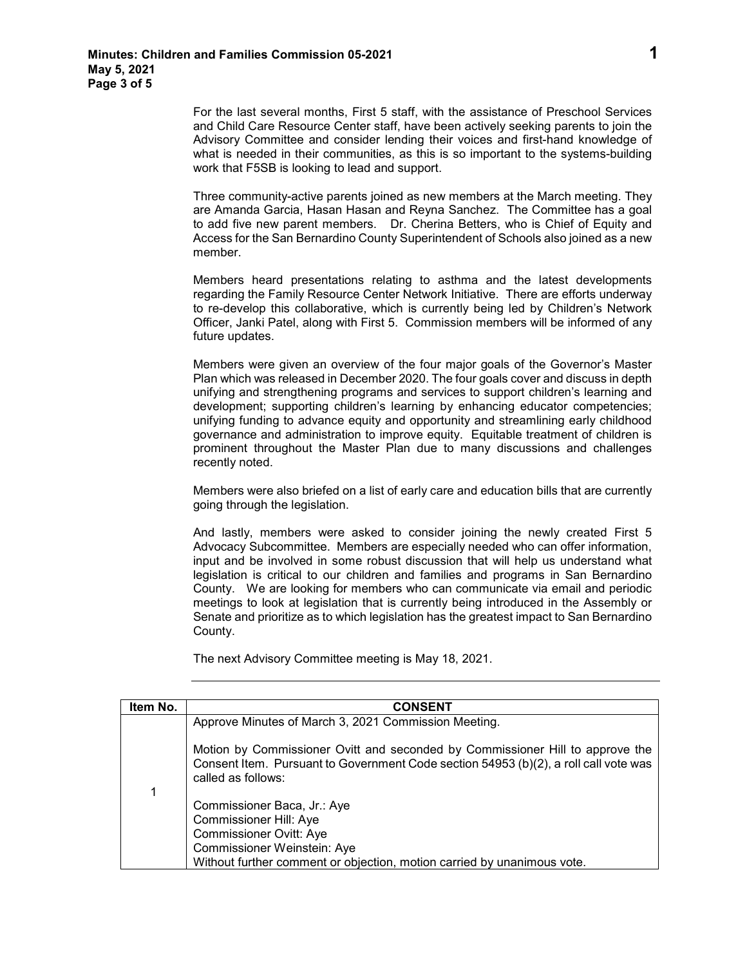For the last several months, First 5 staff, with the assistance of Preschool Services and Child Care Resource Center staff, have been actively seeking parents to join the Advisory Committee and consider lending their voices and first-hand knowledge of what is needed in their communities, as this is so important to the systems-building work that F5SB is looking to lead and support.

Three community-active parents joined as new members at the March meeting. They are Amanda Garcia, Hasan Hasan and Reyna Sanchez. The Committee has a goal to add five new parent members. Dr. Cherina Betters, who is Chief of Equity and Access for the San Bernardino County Superintendent of Schools also joined as a new member.

Members heard presentations relating to asthma and the latest developments regarding the Family Resource Center Network Initiative. There are efforts underway to re-develop this collaborative, which is currently being led by Children's Network Officer, Janki Patel, along with First 5. Commission members will be informed of any future updates.

Members were given an overview of the four major goals of the Governor's Master Plan which was released in December 2020. The four goals cover and discuss in depth unifying and strengthening programs and services to support children's learning and development; supporting children's learning by enhancing educator competencies; unifying funding to advance equity and opportunity and streamlining early childhood governance and administration to improve equity. Equitable treatment of children is prominent throughout the Master Plan due to many discussions and challenges recently noted.

Members were also briefed on a list of early care and education bills that are currently going through the legislation.

And lastly, members were asked to consider joining the newly created First 5 Advocacy Subcommittee. Members are especially needed who can offer information, input and be involved in some robust discussion that will help us understand what legislation is critical to our children and families and programs in San Bernardino County. We are looking for members who can communicate via email and periodic meetings to look at legislation that is currently being introduced in the Assembly or Senate and prioritize as to which legislation has the greatest impact to San Bernardino County.

The next Advisory Committee meeting is May 18, 2021.

| Item No. | <b>CONSENT</b>                                                                                                                                                                              |
|----------|---------------------------------------------------------------------------------------------------------------------------------------------------------------------------------------------|
|          | Approve Minutes of March 3, 2021 Commission Meeting.                                                                                                                                        |
| 1        | Motion by Commissioner Ovitt and seconded by Commissioner Hill to approve the<br>Consent Item. Pursuant to Government Code section 54953 (b)(2), a roll call vote was<br>called as follows: |
|          | Commissioner Baca, Jr.: Aye                                                                                                                                                                 |
|          | Commissioner Hill: Aye                                                                                                                                                                      |
|          | <b>Commissioner Ovitt: Aye</b>                                                                                                                                                              |
|          | Commissioner Weinstein: Aye                                                                                                                                                                 |
|          | Without further comment or objection, motion carried by unanimous vote.                                                                                                                     |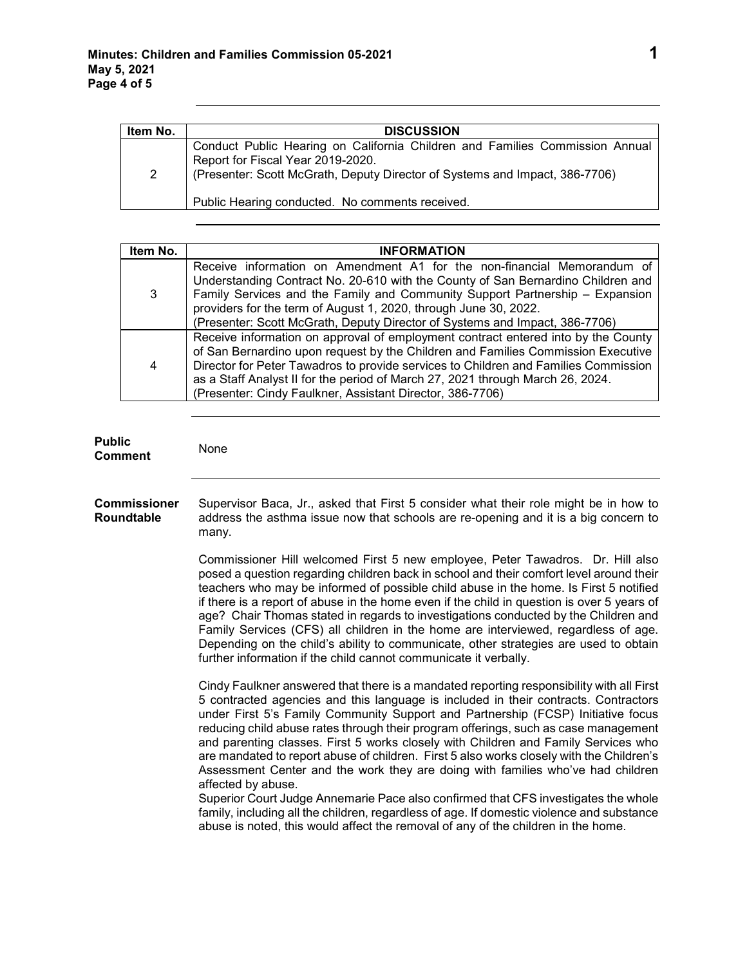**Public**

| Item No.       | <b>DISCUSSION</b>                                                                                                                                                                                |
|----------------|--------------------------------------------------------------------------------------------------------------------------------------------------------------------------------------------------|
| $\overline{2}$ | Conduct Public Hearing on California Children and Families Commission Annual<br>Report for Fiscal Year 2019-2020.<br>(Presenter: Scott McGrath, Deputy Director of Systems and Impact, 386-7706) |
|                | Public Hearing conducted. No comments received.                                                                                                                                                  |

| Item No. | <b>INFORMATION</b>                                                                                                                                                                                                                                                                                                                                                                                          |
|----------|-------------------------------------------------------------------------------------------------------------------------------------------------------------------------------------------------------------------------------------------------------------------------------------------------------------------------------------------------------------------------------------------------------------|
| 3        | Receive information on Amendment A1 for the non-financial Memorandum of<br>Understanding Contract No. 20-610 with the County of San Bernardino Children and<br>Family Services and the Family and Community Support Partnership - Expansion<br>providers for the term of August 1, 2020, through June 30, 2022.<br>(Presenter: Scott McGrath, Deputy Director of Systems and Impact, 386-7706)              |
| 4        | Receive information on approval of employment contract entered into by the County<br>of San Bernardino upon request by the Children and Families Commission Executive<br>Director for Peter Tawadros to provide services to Children and Families Commission<br>as a Staff Analyst II for the period of March 27, 2021 through March 26, 2024.<br>(Presenter: Cindy Faulkner, Assistant Director, 386-7706) |

| r uvilu<br>Comment                | None                                                                                                                                                                                                                                                                                                                                                                                                                                                                                                                                                                                                                                                                                                                                                                                                                                                                                                                          |
|-----------------------------------|-------------------------------------------------------------------------------------------------------------------------------------------------------------------------------------------------------------------------------------------------------------------------------------------------------------------------------------------------------------------------------------------------------------------------------------------------------------------------------------------------------------------------------------------------------------------------------------------------------------------------------------------------------------------------------------------------------------------------------------------------------------------------------------------------------------------------------------------------------------------------------------------------------------------------------|
| <b>Commissioner</b><br>Roundtable | Supervisor Baca, Jr., asked that First 5 consider what their role might be in how to<br>address the asthma issue now that schools are re-opening and it is a big concern to<br>many.                                                                                                                                                                                                                                                                                                                                                                                                                                                                                                                                                                                                                                                                                                                                          |
|                                   | Commissioner Hill welcomed First 5 new employee, Peter Tawadros. Dr. Hill also<br>posed a question regarding children back in school and their comfort level around their<br>teachers who may be informed of possible child abuse in the home. Is First 5 notified<br>if there is a report of abuse in the home even if the child in question is over 5 years of<br>age? Chair Thomas stated in regards to investigations conducted by the Children and<br>Family Services (CFS) all children in the home are interviewed, regardless of age.<br>Depending on the child's ability to communicate, other strategies are used to obtain<br>further information if the child cannot communicate it verbally.                                                                                                                                                                                                                     |
|                                   | Cindy Faulkner answered that there is a mandated reporting responsibility with all First<br>5 contracted agencies and this language is included in their contracts. Contractors<br>under First 5's Family Community Support and Partnership (FCSP) Initiative focus<br>reducing child abuse rates through their program offerings, such as case management<br>and parenting classes. First 5 works closely with Children and Family Services who<br>are mandated to report abuse of children. First 5 also works closely with the Children's<br>Assessment Center and the work they are doing with families who've had children<br>affected by abuse.<br>Superior Court Judge Annemarie Pace also confirmed that CFS investigates the whole<br>family, including all the children, regardless of age. If domestic violence and substance<br>abuse is noted, this would affect the removal of any of the children in the home. |